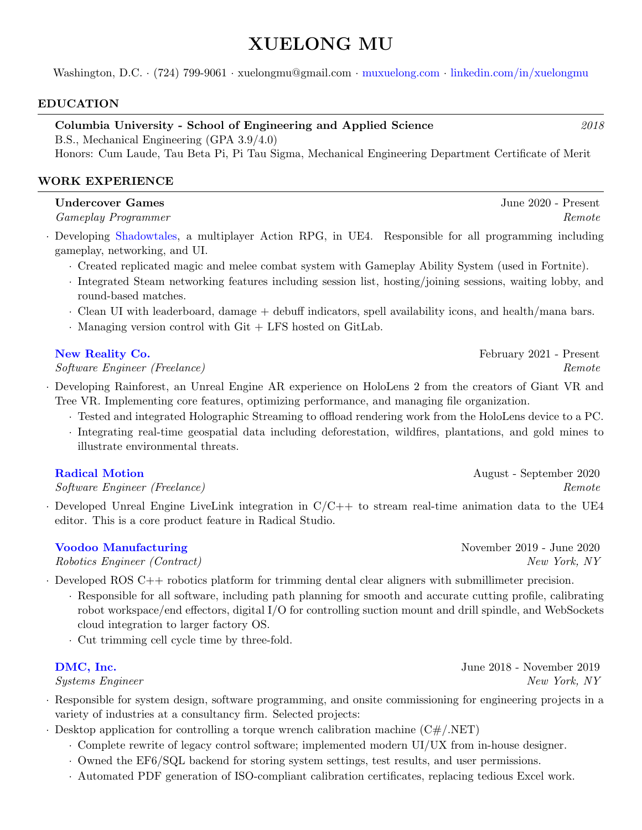# XUELONG MU

Washington, D.C. · (724) 799-9061 · xuelongmu@gmail.com · [muxuelong.com](https://www.muxuelong.com/) · [linkedin.com/in/xuelongmu](https://www.linkedin.com/in/xuelongmu/)

#### EDUCATION

Columbia University - School of Engineering and Applied Science 2018

B.S., Mechanical Engineering (GPA 3.9/4.0)

Honors: Cum Laude, Tau Beta Pi, Pi Tau Sigma, Mechanical Engineering Department Certificate of Merit

# WORK EXPERIENCE

# Undercover Games **Games** June 2020 - Present

Gameplay Programmer Remote

· Developing [Shadowtales,](https://www.youtube.com/watch?v=y-ysDdbxTsc) a multiplayer Action RPG, in UE4. Responsible for all programming including gameplay, networking, and UI.

- · Created replicated magic and melee combat system with Gameplay Ability System (used in Fortnite).
- · Integrated Steam networking features including session list, hosting/joining sessions, waiting lobby, and round-based matches.
- · Clean UI with leaderboard, damage + debuff indicators, spell availability icons, and health/mana bars.
- · Managing version control with Git + LFS hosted on GitLab.

# [New Reality Co.](http://newreality.co/) **February 2021** - Present

# Software Engineer (Freelance) Remote

- · Developing Rainforest, an Unreal Engine AR experience on HoloLens 2 from the creators of Giant VR and Tree VR. Implementing core features, optimizing performance, and managing file organization.
	- · Tested and integrated Holographic Streaming to offload rendering work from the HoloLens device to a PC.
	- · Integrating real-time geospatial data including deforestation, wildfires, plantations, and gold mines to illustrate environmental threats.

Software Engineer (Freelance) Remote

 $\cdot$  Developed Unreal Engine LiveLink integration in  $C/C++$  to stream real-time animation data to the UE4 editor. This is a core product feature in Radical Studio.

Robotics Engineer (Contract) New York, NY

· Developed ROS C++ robotics platform for trimming dental clear aligners with submillimeter precision.

- · Responsible for all software, including path planning for smooth and accurate cutting profile, calibrating robot workspace/end effectors, digital I/O for controlling suction mount and drill spindle, and WebSockets cloud integration to larger factory OS.
- · Cut trimming cell cycle time by three-fold.

# **[DMC, Inc.](https://www.dmcinfo.com/)** June 2018 - November 2019

 $S$ ustems Engineer New York, NY

- · Responsible for system design, software programming, and onsite commissioning for engineering projects in a variety of industries at a consultancy firm. Selected projects:
- $\cdot$  Desktop application for controlling a torque wrench calibration machine (C#/.NET)
	- · Complete rewrite of legacy control software; implemented modern UI/UX from in-house designer.
	- · Owned the EF6/SQL backend for storing system settings, test results, and user permissions.
	- · Automated PDF generation of ISO-compliant calibration certificates, replacing tedious Excel work.

[Radical Motion](https://getrad.co) **August** - September 2020

[Voodoo Manufacturing](https://www.voodoomfg.com/) November 2019 - June 2020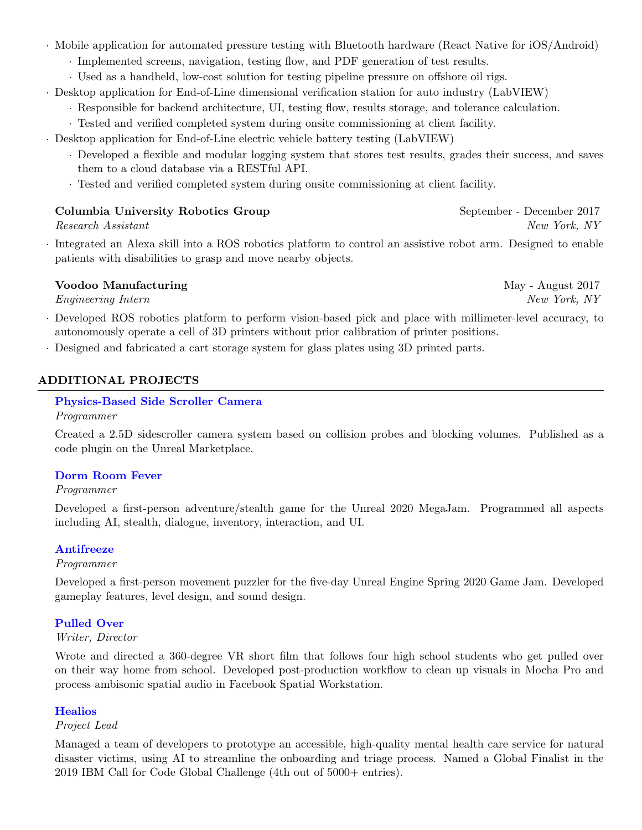- · Mobile application for automated pressure testing with Bluetooth hardware (React Native for iOS/Android)
	- · Implemented screens, navigation, testing flow, and PDF generation of test results.
	- · Used as a handheld, low-cost solution for testing pipeline pressure on offshore oil rigs.
- · Desktop application for End-of-Line dimensional verification station for auto industry (LabVIEW)
	- · Responsible for backend architecture, UI, testing flow, results storage, and tolerance calculation.
	- · Tested and verified completed system during onsite commissioning at client facility.
- · Desktop application for End-of-Line electric vehicle battery testing (LabVIEW)
	- · Developed a flexible and modular logging system that stores test results, grades their success, and saves them to a cloud database via a RESTful API.
	- · Tested and verified completed system during onsite commissioning at client facility.

#### Columbia University Robotics Group September - December 2017

· Integrated an Alexa skill into a ROS robotics platform to control an assistive robot arm. Designed to enable patients with disabilities to grasp and move nearby objects.

# Voodoo Manufacturing May - August 2017

Engineering Intern New York, NY

- · Developed ROS robotics platform to perform vision-based pick and place with millimeter-level accuracy, to autonomously operate a cell of 3D printers without prior calibration of printer positions.
- · Designed and fabricated a cart storage system for glass plates using 3D printed parts.

# ADDITIONAL PROJECTS

# [Physics-Based Side Scroller Camera](https://www.unrealengine.com/marketplace/en-US/product/physics-based-side-scroller-camera)

#### Programmer

Created a 2.5D sidescroller camera system based on collision probes and blocking volumes. Published as a code plugin on the Unreal Marketplace.

# [Dorm Room Fever](https://xuelongmu.itch.io/dorm-room-fever)

#### Programmer

Developed a first-person adventure/stealth game for the Unreal 2020 MegaJam. Programmed all aspects including AI, stealth, dialogue, inventory, interaction, and UI.

# [Antifreeze](https://xuelongmu.itch.io/antifreeze)

#### Programmer

Developed a first-person movement puzzler for the five-day Unreal Engine Spring 2020 Game Jam. Developed gameplay features, level design, and sound design.

# [Pulled Over](https://www.youtube.com/watch?v=RPvjvOktjd4)

#### Writer, Director

Wrote and directed a 360-degree VR short film that follows four high school students who get pulled over on their way home from school. Developed post-production workflow to clean up visuals in Mocha Pro and process ambisonic spatial audio in Facebook Spatial Workstation.

#### **[Healios](https://youtu.be/nbcDgFGvCo8)**

#### Project Lead

Managed a team of developers to prototype an accessible, high-quality mental health care service for natural disaster victims, using AI to streamline the onboarding and triage process. Named a Global Finalist in the 2019 IBM Call for Code Global Challenge (4th out of 5000+ entries).

Research Assistant New York, NY